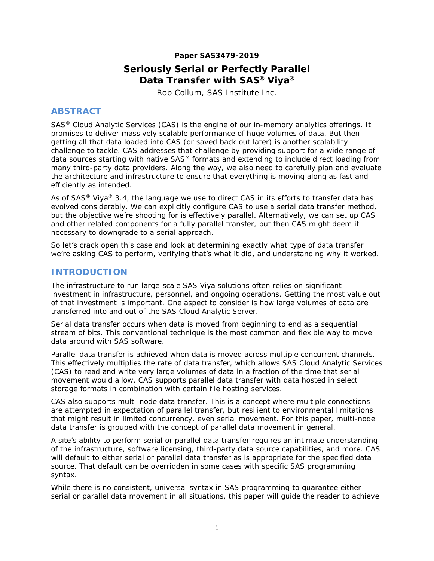#### **Paper SAS3479-2019**

# **Seriously Serial or Perfectly Parallel Data Transfer with SAS® Viya®** Rob Collum, SAS Institute Inc.

# **ABSTRACT**

SAS® Cloud Analytic Services (CAS) is the engine of our in-memory analytics offerings. It promises to deliver massively scalable performance of huge volumes of data. But then getting all that data loaded into CAS (or saved back out later) is another scalability challenge to tackle. CAS addresses that challenge by providing support for a wide range of data sources starting with native SAS® formats and extending to include direct loading from many third-party data providers. Along the way, we also need to carefully plan and evaluate the architecture and infrastructure to ensure that everything is moving along as fast and efficiently as intended.

As of SAS® Viya® 3.4, the language we use to direct CAS in its efforts to transfer data has evolved considerably. We can explicitly configure CAS to use a serial data transfer method, but the obiective we're shooting for is effectively parallel. Alternatively, we can set up CAS and other related components for a fully parallel transfer, but then CAS might deem it necessary to downgrade to a serial approach.

So let's crack open this case and look at determining exactly what type of data transfer we're asking CAS to perform, verifying that's what it did, and understanding why it worked.

# **INTRODUCTION**

The infrastructure to run large-scale SAS Viya solutions often relies on significant investment in infrastructure, personnel, and ongoing operations. Getting the most value out of that investment is important. One aspect to consider is how large volumes of data are transferred into and out of the SAS Cloud Analytic Server.

Serial data transfer occurs when data is moved from beginning to end as a sequential stream of bits. This conventional technique is the most common and flexible way to move data around with SAS software.

Parallel data transfer is achieved when data is moved across multiple concurrent channels. This effectively multiplies the rate of data transfer, which allows SAS Cloud Analytic Services (CAS) to read and write very large volumes of data in a fraction of the time that serial movement would allow. CAS supports parallel data transfer with data hosted in select storage formats in combination with certain file hosting services.

CAS also supports multi-node data transfer. This is a concept where multiple connections are attempted in expectation of parallel transfer, but resilient to environmental limitations that might result in limited concurrency, even serial movement. For this paper, multi-node data transfer is grouped with the concept of parallel data movement in general.

A site's ability to perform serial or parallel data transfer requires an intimate understanding of the infrastructure, software licensing, third-party data source capabilities, and more. CAS will default to either serial or parallel data transfer as is appropriate for the specified data source. That default can be overridden in some cases with specific SAS programming syntax.

While there is no consistent, universal syntax in SAS programming to guarantee either serial or parallel data movement in all situations, this paper will guide the reader to achieve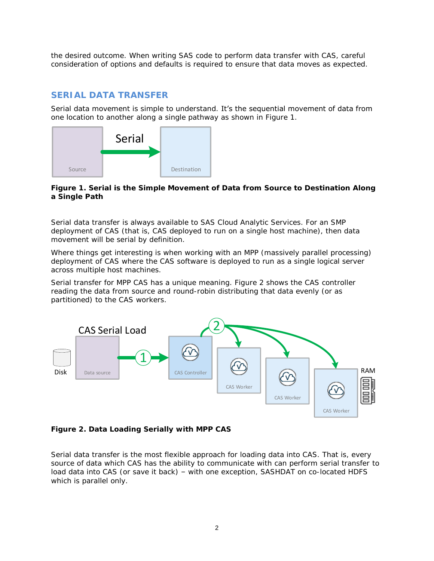the desired outcome. When writing SAS code to perform data transfer with CAS, careful consideration of options and defaults is required to ensure that data moves as expected.

# **SERIAL DATA TRANSFER**

Serial data movement is simple to understand. It's the sequential movement of data from one location to another along a single pathway as shown in [Figure 1.](#page-1-0)



<span id="page-1-0"></span>**Figure 1. Serial is the Simple Movement of Data from Source to Destination Along a Single Path**

Serial data transfer is always available to SAS Cloud Analytic Services. For an SMP deployment of CAS (that is, CAS deployed to run on a single host machine), then data movement will be serial by definition.

Where things get interesting is when working with an MPP (massively parallel processing) deployment of CAS where the CAS software is deployed to run as a single logical server across multiple host machines.

Serial transfer for MPP CAS has a unique meaning. [Figure 2](#page-1-1) shows the CAS controller reading the data from source and round-robin distributing that data evenly (or as partitioned) to the CAS workers.



<span id="page-1-1"></span>**Figure 2. Data Loading Serially with MPP CAS**

Serial data transfer is the most flexible approach for loading data into CAS. That is, every source of data which CAS has the ability to communicate with can perform serial transfer to load data into CAS (or save it back) – with one exception, SASHDAT on co-located HDFS which is parallel only.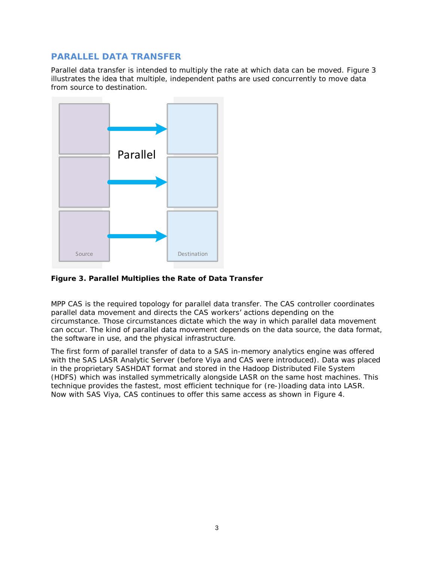# **PARALLEL DATA TRANSFER**

Parallel data transfer is intended to multiply the rate at which data can be moved. [Figure 3](#page-2-0) illustrates the idea that multiple, independent paths are used concurrently to move data from source to destination.



<span id="page-2-0"></span>**Figure 3. Parallel Multiplies the Rate of Data Transfer**

MPP CAS is the required topology for parallel data transfer. The CAS controller coordinates parallel data movement and directs the CAS workers' actions depending on the circumstance. Those circumstances dictate which the way in which parallel data movement can occur. The kind of parallel data movement depends on the data source, the data format, the software in use, and the physical infrastructure.

The first form of parallel transfer of data to a SAS in-memory analytics engine was offered with the SAS LASR Analytic Server (before Viya and CAS were introduced). Data was placed in the proprietary SASHDAT format and stored in the Hadoop Distributed File System (HDFS) which was installed symmetrically alongside LASR on the same host machines. This technique provides the fastest, most efficient technique for (re-)loading data into LASR. Now with SAS Viya, CAS continues to offer this same access as shown in [Figure 4.](#page-3-0)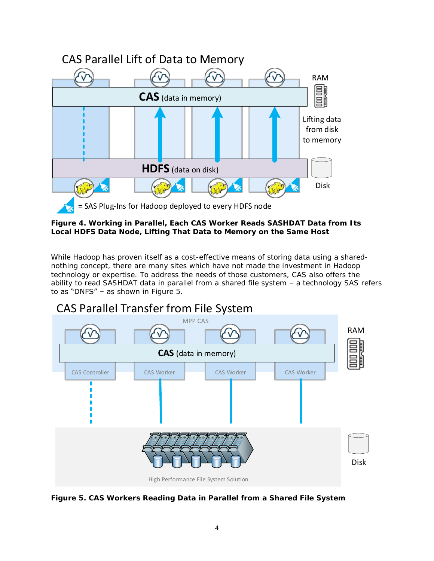

<span id="page-3-0"></span>**Figure 4. Working in Parallel, Each CAS Worker Reads SASHDAT Data from Its Local HDFS Data Node, Lifting That Data to Memory on the Same Host**

While Hadoop has proven itself as a cost-effective means of storing data using a sharednothing concept, there are many sites which have not made the investment in Hadoop technology or expertise. To address the needs of those customers, CAS also offers the ability to read SASHDAT data in parallel from a shared file system – a technology SAS refers to as "DNFS" – as shown in [Figure 5.](#page-3-1)



# CAS Parallel Transfer from File System

<span id="page-3-1"></span>**Figure 5. CAS Workers Reading Data in Parallel from a Shared File System**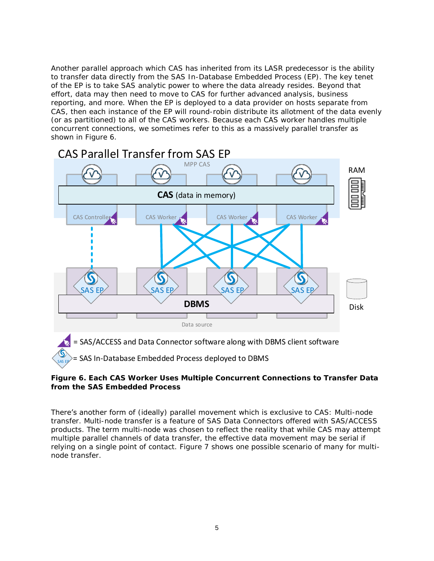Another parallel approach which CAS has inherited from its LASR predecessor is the ability to transfer data directly from the SAS In-Database Embedded Process (EP). The key tenet of the EP is to take SAS analytic power to where the data already resides. Beyond that effort, data may then need to move to CAS for further advanced analysis, business reporting, and more. When the EP is deployed to a data provider on hosts separate from CAS, then each instance of the EP will round-robin distribute its allotment of the data evenly (or as partitioned) to all of the CAS workers. Because each CAS worker handles multiple concurrent connections, we sometimes refer to this as a massively parallel transfer as shown in [Figure 6.](#page-4-0)



<span id="page-4-0"></span>**Figure 6. Each CAS Worker Uses Multiple Concurrent Connections to Transfer Data from the SAS Embedded Process**

There's another form of (ideally) parallel movement which is exclusive to CAS: Multi-node transfer. Multi-node transfer is a feature of SAS Data Connectors offered with SAS/ACCESS products. The term multi-node was chosen to reflect the reality that while CAS may attempt multiple parallel channels of data transfer, the effective data movement may be serial if relying on a single point of contact. [Figure 7](#page-5-0) shows one possible scenario of many for multinode transfer.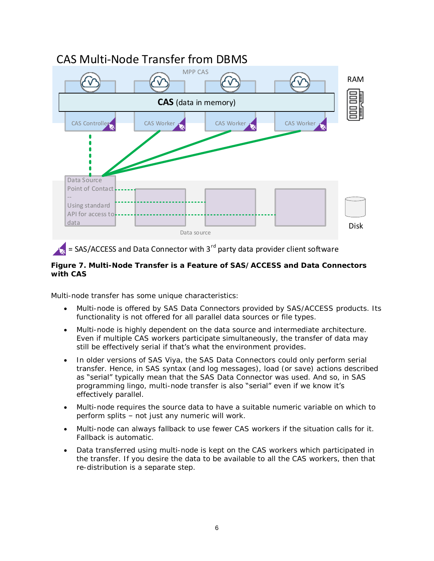

# CAS Multi-Node Transfer from DBMS

# $=$  SAS/ACCESS and Data Connector with 3<sup>rd</sup> party data provider client software

<span id="page-5-0"></span>**Figure 7. Multi-Node Transfer is a Feature of SAS/ACCESS and Data Connectors with CAS**

Multi-node transfer has some unique characteristics:

- Multi-node is offered by SAS Data Connectors provided by SAS/ACCESS products. Its functionality is not offered for all parallel data sources or file types.
- Multi-node is highly dependent on the data source and intermediate architecture. Even if multiple CAS workers participate simultaneously, the transfer of data may still be effectively serial if that's what the environment provides.
- In older versions of SAS Viya, the SAS Data Connectors could only perform serial transfer. Hence, in SAS syntax (and log messages), load (or save) actions described as "serial" typically mean that the SAS Data Connector was used. And so, in SAS programming lingo, multi-node transfer is also "serial" even if we know it's effectively parallel.
- Multi-node requires the source data to have a suitable numeric variable on which to perform splits – not just any numeric will work.
- Multi-node can always fallback to use fewer CAS workers if the situation calls for it. Fallback is automatic.
- Data transferred using multi-node is kept on the CAS workers which participated in the transfer. If you desire the data to be available to all the CAS workers, then that re-distribution is a separate step.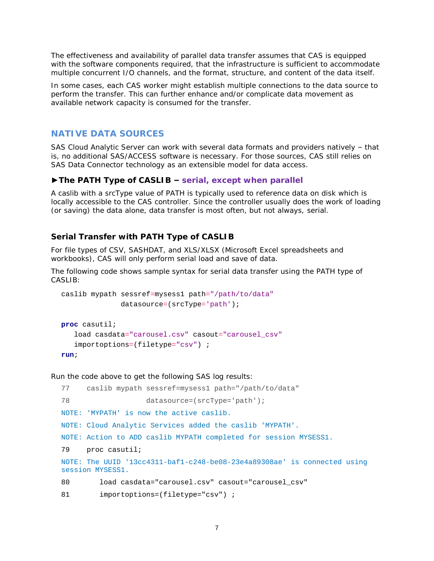The effectiveness and availability of parallel data transfer assumes that CAS is equipped with the software components required, that the infrastructure is sufficient to accommodate multiple concurrent I/O channels, and the format, structure, and content of the data itself.

In some cases, each CAS worker might establish multiple connections to the data source to perform the transfer. This can further enhance and/or complicate data movement as available network capacity is consumed for the transfer.

## **NATIVE DATA SOURCES**

SAS Cloud Analytic Server can work with several data formats and providers natively – that is, no additional SAS/ACCESS software is necessary. For those sources, CAS still relies on SAS Data Connector *technology* as an extensible model for data access.

**►The PATH Type of CASLIB – serial, except when parallel**

A caslib with a srcType value of PATH is typically used to reference data on disk which is locally accessible to the CAS controller. Since the controller usually does the work of loading (or saving) the data alone, data transfer is most often, but not always, serial.

#### *Serial Transfer with PATH Type of CASLIB*

For file types of CSV, SASHDAT, and XLS/XLSX (Microsoft Excel spreadsheets and workbooks), CAS will only perform serial load and save of data.

The following code shows sample syntax for serial data transfer using the PATH type of CASLIB:

```
caslib mypath sessref=mysess1 path="/path/to/data"
               datasource=(srcType='path');
```

```
proc casutil; 
    load casdata="carousel.csv" casout="carousel_csv"
    importoptions=(filetype="csv") ;
run;
```

```
77 caslib mypath sessref=mysess1 path="/path/to/data"
78 datasource=(srcType='path');
NOTE: 'MYPATH' is now the active caslib.
NOTE: Cloud Analytic Services added the caslib 'MYPATH'.
NOTE: Action to ADD caslib MYPATH completed for session MYSESS1.
79 proc casutil;
NOTE: The UUID '13cc4311-baf1-c248-be08-23e4a89308ae' is connected using 
session MYSESS1.
80 load casdata="carousel.csv" casout="carousel_csv"
81 importoptions=(filetype="csv") ;
```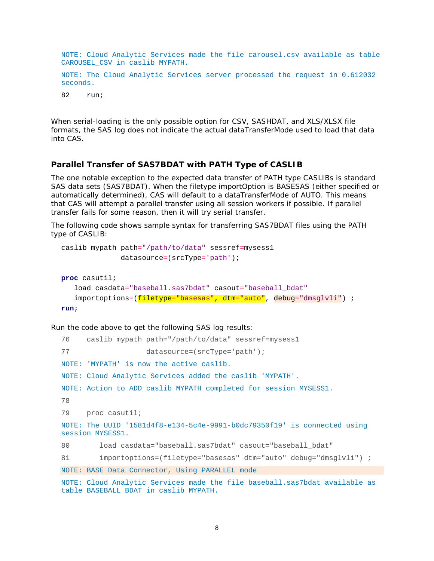NOTE: Cloud Analytic Services made the file carousel.csv available as table CAROUSEL\_CSV in caslib MYPATH.

NOTE: The Cloud Analytic Services server processed the request in 0.612032 seconds.

82 run;

When serial-loading is the only possible option for CSV, SASHDAT, and XLS/XLSX file formats, the SAS log does not indicate the actual dataTransferMode used to load that data into CAS.

#### *Parallel Transfer of SAS7BDAT with PATH Type of CASLIB*

The one notable exception to the expected data transfer of PATH type CASLIBs is standard SAS data sets (SAS7BDAT). When the filetype importOption is BASESAS (either specified or automatically determined), CAS will default to a dataTransferMode of AUTO. This means that CAS will attempt a parallel transfer using all session workers if possible. If parallel transfer fails for some reason, then it will try serial transfer.

The following code shows sample syntax for transferring SAS7BDAT files using the PATH type of CASLIB:

```
caslib mypath path="/path/to/data" sessref=mysess1
               datasource=(srcType='path');
proc casutil; 
    load casdata="baseball.sas7bdat" casout="baseball_bdat"
   importoptions=(filetype="basesas", dtm="auto", debug="dmsglvli") ;
run;
```

```
76 caslib mypath path="/path/to/data" sessref=mysess1
77 datasource=(srcType='path');
NOTE: 'MYPATH' is now the active caslib.
NOTE: Cloud Analytic Services added the caslib 'MYPATH'.
NOTE: Action to ADD caslib MYPATH completed for session MYSESS1.
78 
79 proc casutil;
NOTE: The UUID '1581d4f8-e134-5c4e-9991-b0dc79350f19' is connected using 
session MYSESS1.
80 load casdata="baseball.sas7bdat" casout="baseball_bdat"
81 importoptions=(filetype="basesas" dtm="auto" debug="dmsglvli") ;
NOTE: BASE Data Connector, Using PARALLEL mode
NOTE: Cloud Analytic Services made the file baseball.sas7bdat available as 
table BASEBALL_BDAT in caslib MYPATH.
```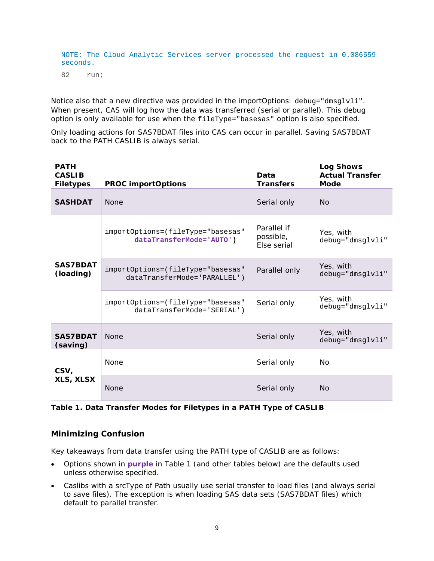NOTE: The Cloud Analytic Services server processed the request in 0.086559 seconds.

82 run;

Notice also that a new directive was provided in the importOptions: debug="dmsglvli". When present, CAS will log how the data was transferred (serial or parallel). This debug option is only available for use when the fileType="basesas" option is also specified.

Only loading actions for SAS7BDAT files into CAS can occur in parallel. Saving SAS7BDAT back to the PATH CASLIB is always serial.

| <b>PATH</b><br><b>CASLIB</b><br>Filetypes | PROC importOptions                                                | Data<br>Transfers                       | Log Shows<br><b>Actual Transfer</b><br>Mode |
|-------------------------------------------|-------------------------------------------------------------------|-----------------------------------------|---------------------------------------------|
| <b>SASHDAT</b>                            | <b>None</b>                                                       | Serial only                             | No                                          |
|                                           | importOptions=(fileType="basesas"<br>dataTransferMode='AUTO')     | Parallel if<br>possible,<br>Else serial | Yes, with<br>debug="dmsglvli"               |
| SAS7BDAT<br>(loading)                     | importOptions=(fileType="basesas"<br>dataTransferMode='PARALLEL') | Parallel only                           | Yes, with<br>$debug = "dmsqlvli"$           |
|                                           | importOptions=(fileType="basesas"<br>dataTransferMode='SERIAL')   | Serial only                             | Yes, with<br>debug="dmsglvli"               |
| SAS7BDAT<br>(saving)                      | <b>None</b>                                                       | Serial only                             | Yes, with<br>$debug = "dmsqlvli"$           |
| CSV,<br>XLS, XLSX                         | None                                                              | Serial only                             | No                                          |
|                                           | <b>None</b>                                                       | Serial only                             | <b>No</b>                                   |

<span id="page-8-0"></span>**Table 1. Data Transfer Modes for Filetypes in a PATH Type of CASLIB**

# *Minimizing Confusion*

Key takeaways from data transfer using the PATH type of CASLIB are as follows:

- Options shown in **purple** in [Table 1](#page-8-0) (and other tables below) are the defaults used unless otherwise specified.
- Caslibs with a srcType of Path usually use serial transfer to load files (and always serial to save files). The exception is when loading SAS data sets (SAS7BDAT files) which default to parallel transfer.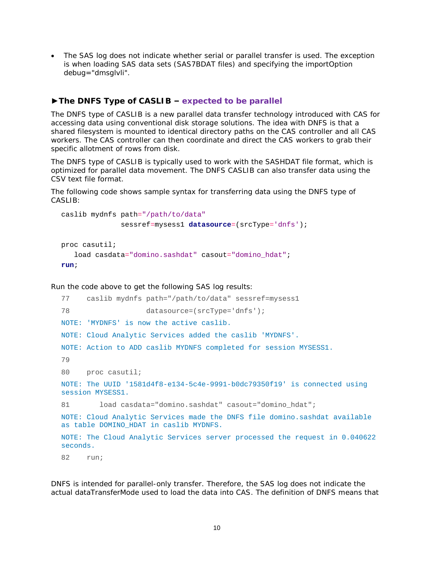- The SAS log does not indicate whether serial or parallel transfer is used. The exception is when loading SAS data sets (SAS7BDAT files) and specifying the importOption debug="dmsglvli".
- **►The DNFS Type of CASLIB – expected to be parallel**

The DNFS type of CASLIB is a new parallel data transfer technology introduced with CAS for accessing data using conventional disk storage solutions. The idea with DNFS is that a shared filesystem is mounted to identical directory paths on the CAS controller and all CAS workers. The CAS controller can then coordinate and direct the CAS workers to grab their specific allotment of rows from disk.

The DNFS type of CASLIB is typically used to work with the SASHDAT file format, which is optimized for parallel data movement. The DNFS CASLIB can also transfer data using the CSV text file format.

The following code shows sample syntax for transferring data using the DNFS type of CASLIB:

```
caslib mydnfs path="/path/to/data"
               sessref=mysess1 datasource=(srcType='dnfs');
proc casutil; 
    load casdata="domino.sashdat" casout="domino_hdat";
```

```
run;
```
Run the code above to get the following SAS log results:

```
77 caslib mydnfs path="/path/to/data" sessref=mysess1
78 datasource=(srcType='dnfs');
NOTE: 'MYDNFS' is now the active caslib.
NOTE: Cloud Analytic Services added the caslib 'MYDNFS'.
NOTE: Action to ADD caslib MYDNFS completed for session MYSESS1.
79 
80 proc casutil;
NOTE: The UUID '1581d4f8-e134-5c4e-9991-b0dc79350f19' is connected using 
session MYSESS1.
81 load casdata="domino.sashdat" casout="domino_hdat";
NOTE: Cloud Analytic Services made the DNFS file domino.sashdat available 
as table DOMINO HDAT in caslib MYDNFS.
NOTE: The Cloud Analytic Services server processed the request in 0.040622 
seconds.
82 run;
```
DNFS is intended for parallel-only transfer. Therefore, the SAS log does not indicate the actual dataTransferMode used to load the data into CAS. The definition of DNFS means that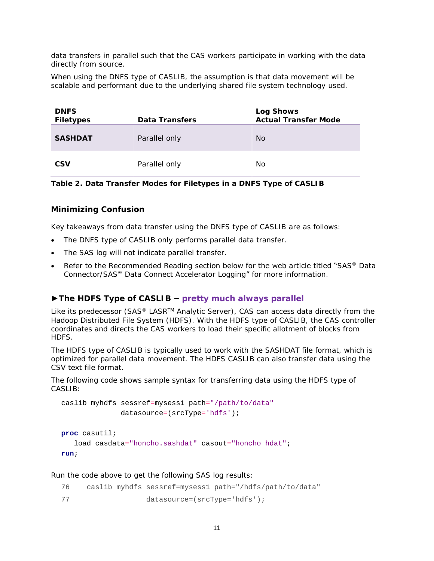data transfers in parallel such that the CAS workers participate in working with the data directly from source.

When using the DNFS type of CASLIB, the assumption is that data movement will be scalable and performant due to the underlying shared file system technology used.

| <b>DNFS</b><br>Filetypes | Data Transfers | Log Shows<br><b>Actual Transfer Mode</b> |
|--------------------------|----------------|------------------------------------------|
| SASHDAT                  | Parallel only  | <b>No</b>                                |
| <b>CSV</b>               | Parallel only  | No                                       |

**Table 2. Data Transfer Modes for Filetypes in a DNFS Type of CASLIB**

## *Minimizing Confusion*

Key takeaways from data transfer using the DNFS type of CASLIB are as follows:

- The DNFS type of CASLIB only performs parallel data transfer.
- The SAS log will not indicate parallel transfer.
- Refer to the [Recommended Reading](#page-32-0) section below for the web article titled "SAS® Data Connector/SAS® Data Connect Accelerator Logging" for more information.

## **►The HDFS Type of CASLIB – pretty much always parallel**

Like its predecessor (SAS® LASR<sup>™</sup> Analytic Server), CAS can access data directly from the Hadoop Distributed File System (HDFS). With the HDFS type of CASLIB, the CAS controller coordinates and directs the CAS workers to load their specific allotment of blocks from HDFS.

The HDFS type of CASLIB is typically used to work with the SASHDAT file format, which is optimized for parallel data movement. The HDFS CASLIB can also transfer data using the CSV text file format.

The following code shows sample syntax for transferring data using the HDFS type of CASLIB:

```
caslib myhdfs sessref=mysess1 path="/path/to/data"
               datasource=(srcType='hdfs');
```

```
proc casutil; 
    load casdata="honcho.sashdat" casout="honcho_hdat";
run;
```

| 76 |                                | caslib myhdfs sessref=mysess1 path="/hdfs/path/to/data" |
|----|--------------------------------|---------------------------------------------------------|
| 77 | $datasource=(srcType='hdfs');$ |                                                         |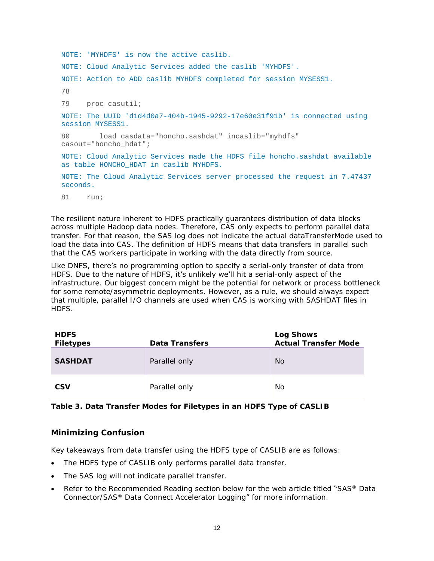```
NOTE: 'MYHDFS' is now the active caslib.
NOTE: Cloud Analytic Services added the caslib 'MYHDFS'.
NOTE: Action to ADD caslib MYHDFS completed for session MYSESS1.
78 
79 proc casutil;
NOTE: The UUID 'd1d4d0a7-404b-1945-9292-17e60e31f91b' is connected using 
session MYSESS1.
80 load casdata="honcho.sashdat" incaslib="myhdfs" 
casout="honcho_hdat";
NOTE: Cloud Analytic Services made the HDFS file honcho.sashdat available 
as table HONCHO HDAT in caslib MYHDFS.
NOTE: The Cloud Analytic Services server processed the request in 7.47437 
seconds.
81 run;
```
The resilient nature inherent to HDFS practically guarantees distribution of data blocks across multiple Hadoop data nodes. Therefore, CAS only expects to perform parallel data transfer. For that reason, the SAS log does not indicate the actual dataTransferMode used to load the data into CAS. The definition of HDFS means that data transfers in parallel such that the CAS workers participate in working with the data directly from source.

Like DNFS, there's no programming option to specify a serial-only transfer of data from HDFS. Due to the nature of HDFS, it's unlikely we'll hit a serial-only aspect of the infrastructure. Our biggest concern might be the potential for network or process bottleneck for some remote/asymmetric deployments. However, as a rule, we should always expect that multiple, parallel I/O channels are used when CAS is working with SASHDAT files in HDFS.

| <b>HDFS</b> |                | Log Shows            |
|-------------|----------------|----------------------|
| Filetypes   | Data Transfers | Actual Transfer Mode |
| SASHDAT     | Parallel only  | <b>No</b>            |
| <b>CSV</b>  | Parallel only  | No.                  |

**Table 3. Data Transfer Modes for Filetypes in an HDFS Type of CASLIB**

#### *Minimizing Confusion*

Key takeaways from data transfer using the HDFS type of CASLIB are as follows:

- The HDFS type of CASLIB only performs parallel data transfer.
- The SAS log will not indicate parallel transfer.
- Refer to the [Recommended Reading](#page-32-0) section below for the web article titled "SAS® Data Connector/SAS® Data Connect Accelerator Logging" for more information.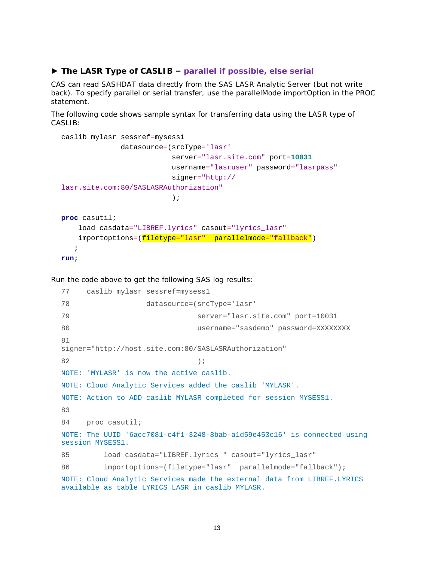#### **► The LASR Type of CASLIB – parallel if possible, else serial**

CAS can read SASHDAT data directly from the SAS LASR Analytic Server (but not write back). To specify parallel or serial transfer, use the parallelMode importOption in the PROC statement.

The following code shows sample syntax for transferring data using the LASR type of CASLIB:

```
caslib mylasr sessref=mysess1 
               datasource=(srcType='lasr'
                           server="lasr.site.com" port=10031
                           username="lasruser" password="lasrpass"
                           signer="http://
lasr.site.com:80/SASLASRAuthorization"
\hspace{0.1cm});
proc casutil; 
     load casdata="LIBREF.lyrics" casout="lyrics_lasr"
     importoptions=(filetype="lasr" parallelmode="fallback")
    ;
run;
```

```
77 caslib mylasr sessref=mysess1
78 datasource=(srcType='lasr'
79 server="lasr.site.com" port=10031
80 username="sasdemo" password=XXXXXXXX
81 
signer="http://host.site.com:80/SASLASRAuthorization"
82 \hspace{25mm} \textcolor{blue}{\mathbf{82}}NOTE: 'MYLASR' is now the active caslib.
NOTE: Cloud Analytic Services added the caslib 'MYLASR'.
NOTE: Action to ADD caslib MYLASR completed for session MYSESS1.
83 
84 proc casutil;
NOTE: The UUID '6acc7081-c4f1-3248-8bab-a1d59e453c16' is connected using 
session MYSESS1.
85 load casdata="LIBREF.lyrics " casout="lyrics_lasr"
86 importoptions=(filetype="lasr" parallelmode="fallback");
NOTE: Cloud Analytic Services made the external data from LIBREF.LYRICS
available as table LYRICS_LASR in caslib MYLASR.
```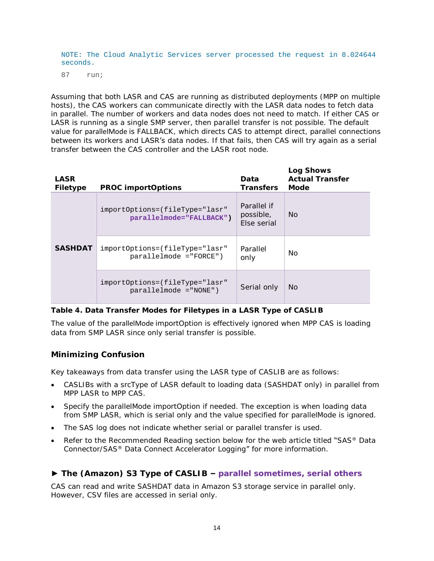NOTE: The Cloud Analytic Services server processed the request in 8.024644 seconds.

87 run;

Assuming that both LASR and CAS are running as distributed deployments (MPP on multiple hosts), the CAS workers can communicate directly with the LASR data nodes to fetch data in parallel. The number of workers and data nodes does not need to match. If either CAS or LASR is running as a single SMP server, then parallel transfer is not possible. The default value for parallelMode is FALLBACK, which directs CAS to attempt direct, parallel connections between its workers and LASR's data nodes. If that fails, then CAS will try again as a serial transfer between the CAS controller and the LASR root node.

| LASR<br>Filetype | PROC importOptions                                             | Data<br><b>Transfers</b>                | Log Shows<br>Actual Transfer<br>Mode |
|------------------|----------------------------------------------------------------|-----------------------------------------|--------------------------------------|
| <b>SASHDAT</b>   | importOptions=(fileType="lasr"<br>parallelmode="FALLBACK")     | Parallel if<br>possible,<br>Else serial | <b>No</b>                            |
|                  | importOptions=(fileType="lasr"<br>$paralleled mode = "FORCE")$ | Parallel<br>only                        | No.                                  |
|                  | importOptions=(fileType="lasr"<br>$paralleled mode = "NONE")$  | Serial only                             | <b>No</b>                            |

#### **Table 4. Data Transfer Modes for Filetypes in a LASR Type of CASLIB**

The value of the parallelMode importOption is effectively ignored when MPP CAS is loading data from SMP LASR since only serial transfer is possible.

## *Minimizing Confusion*

Key takeaways from data transfer using the LASR type of CASLIB are as follows:

- CASLIBs with a srcType of LASR default to loading data (SASHDAT only) in parallel from MPP LASR to MPP CAS.
- Specify the parallelMode importOption if needed. The exception is when loading data from SMP LASR, which is serial only and the value specified for parallelMode is ignored.
- The SAS log does not indicate whether serial or parallel transfer is used.
- Refer to the [Recommended Reading](#page-32-0) section below for the web article titled "SAS® Data Connector/SAS® Data Connect Accelerator Logging" for more information.
- **► The (Amazon) S3 Type of CASLIB – parallel sometimes, serial others**

CAS can read and write SASHDAT data in Amazon S3 storage service in parallel only. However, CSV files are accessed in serial only.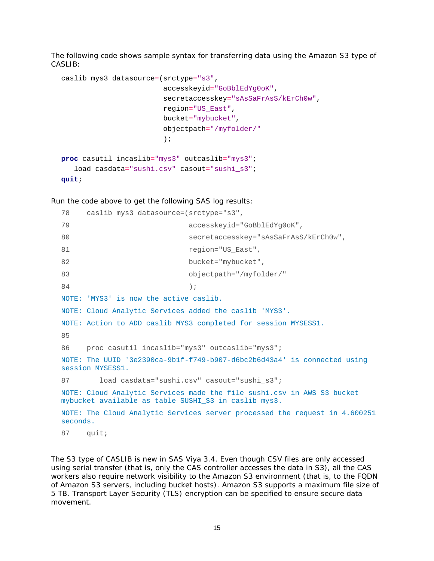The following code shows sample syntax for transferring data using the Amazon S3 type of CASLIB:

```
caslib mys3 datasource=(srctype="s3",
                         accesskeyid="GoBblEdYg0oK",
                         secretaccesskey="sAsSaFrAsS/kErCh0w",
                         region="US_East",
                         bucket="mybucket",
                         objectpath="/myfolder/"
\hspace{0.1cm});
proc casutil incaslib="mys3" outcaslib="mys3";
   load casdata="sushi.csv" casout="sushi_s3";
```

```
quit;
```
Run the code above to get the following SAS log results:

```
78 caslib mys3 datasource=(srctype="s3",
79 accesskeyid="GoBblEdYg0oK",
80 secretaccesskey="sAsSaFrAsS/kErCh0w",
81 region="US_East",
82 bucket="mybucket",
83 objectpath="/myfolder/"
84 \hspace{25mm} \rightarrow \hspace{25mm} \rightarrow \hspace{25mm} \rightarrow \hspace{25mm} \rightarrow \hspace{25mm} \rightarrow \hspace{25mm} \rightarrow \hspace{25mm} \rightarrow \hspace{25mm} \rightarrow \hspace{25mm} \rightarrow \hspace{25mm} \rightarrow \hspace{25mm} \rightarrow \hspace{25mm} \rightarrow \hspace{25mm} \rightarrow \hspace{25mm} \rightarrow \hspace{25mm} \rightarrow \hspace{25mm} \rightarrow \hspace{25mm} \rightarrow \hspace{25mm} \rightarrow \hspace{25mm} \rightarrow \hspace{25mm} \rightarrow \hspace{25mm} \rightarrow \hspace{25mm}NOTE: 'MYS3' is now the active caslib.
NOTE: Cloud Analytic Services added the caslib 'MYS3'.
NOTE: Action to ADD caslib MYS3 completed for session MYSESS1.
85 
86 proc casutil incaslib="mys3" outcaslib="mys3";
NOTE: The UUID '3e2390ca-9b1f-f749-b907-d6bc2b6d43a4' is connected using 
session MYSESS1.
87 load casdata="sushi.csv" casout="sushi_s3";
NOTE: Cloud Analytic Services made the file sushi.csv in AWS S3 bucket 
mybucket available as table SUSHI_S3 in caslib mys3.
NOTE: The Cloud Analytic Services server processed the request in 4.600251 
seconds.
```
87 quit;

The S3 type of CASLIB is new in SAS Viya 3.4. Even though CSV files are only accessed using serial transfer (that is, only the CAS controller accesses the data in S3), all the CAS workers also require network visibility to the Amazon S3 environment (that is, to the FQDN of Amazon S3 servers, including bucket hosts). Amazon S3 supports a maximum file size of 5 TB. Transport Layer Security (TLS) encryption can be specified to ensure secure data movement.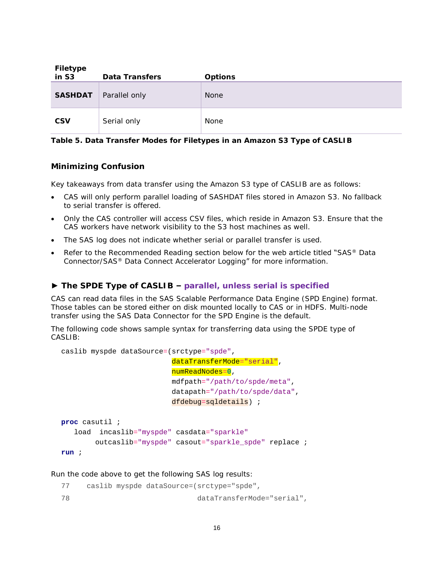| Filetype<br>in S3 | Data Transfers | Options     |
|-------------------|----------------|-------------|
| SASHDAT           | Parallel only  | <b>None</b> |
| <b>CSV</b>        | Serial only    | None        |

**Table 5. Data Transfer Modes for Filetypes in an Amazon S3 Type of CASLIB**

#### *Minimizing Confusion*

Key takeaways from data transfer using the Amazon S3 type of CASLIB are as follows:

- CAS will only perform parallel loading of SASHDAT files stored in Amazon S3. No fallback to serial transfer is offered.
- Only the CAS controller will access CSV files, which reside in Amazon S3. Ensure that the CAS workers have network visibility to the S3 host machines as well.
- The SAS log does not indicate whether serial or parallel transfer is used.
- Refer to the [Recommended Reading](#page-32-0) section below for the web article titled "SAS® Data Connector/SAS® Data Connect Accelerator Logging" for more information.

## **► The SPDE Type of CASLIB – parallel, unless serial is specified**

CAS can read data files in the SAS Scalable Performance Data Engine (SPD Engine) format. Those tables can be stored either on disk mounted locally to CAS or in HDFS. Multi-node transfer using the SAS Data Connector for the SPD Engine is the default.

The following code shows sample syntax for transferring data using the SPDE type of CASLIB:

```
caslib myspde dataSource=(srctype="spde",
                            dataTransferMode="serial",
                            numReadNodes=0,
                            mdfpath="/path/to/spde/meta",
                            datapath="/path/to/spde/data",
                            dfdebug=sqldetails) ;
proc casutil ;
    load incaslib="myspde" casdata="sparkle"
         outcaslib="myspde" casout="sparkle_spde" replace ;
run ;
```

| 77 |  | caslib myspde dataSource=(srctype="spde", |
|----|--|-------------------------------------------|
| 78 |  | dataTransferMode="serial",                |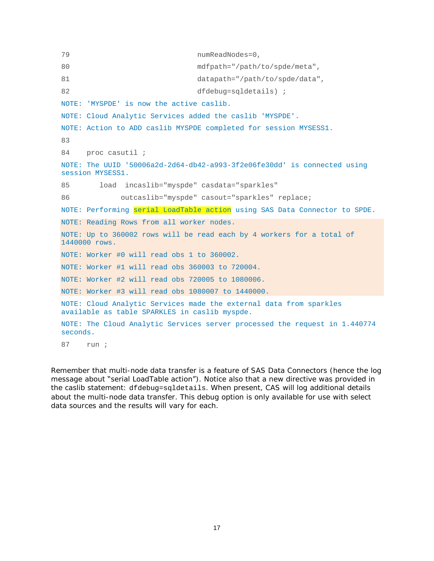```
79 numReadNodes=0,
80 mdfpath="/path/to/spde/meta",
81 datapath="/path/to/spde/data",
82 dfdebug=sqldetails) ;
NOTE: 'MYSPDE' is now the active caslib.
NOTE: Cloud Analytic Services added the caslib 'MYSPDE'.
NOTE: Action to ADD caslib MYSPDE completed for session MYSESS1.
83 
84 proc casutil ;
NOTE: The UUID '50006a2d-2d64-db42-a993-3f2e06fe30dd' is connected using 
session MYSESS1.
85 load incaslib="myspde" casdata="sparkles"
86 outcaslib="myspde" casout="sparkles" replace;
NOTE: Performing serial LoadTable action using SAS Data Connector to SPDE.
NOTE: Reading Rows from all worker nodes.
NOTE: Up to 360002 rows will be read each by 4 workers for a total of 
1440000 rows.
NOTE: Worker #0 will read obs 1 to 360002.
NOTE: Worker #1 will read obs 360003 to 720004.
NOTE: Worker #2 will read obs 720005 to 1080006.
NOTE: Worker #3 will read obs 1080007 to 1440000.
NOTE: Cloud Analytic Services made the external data from sparkles
available as table SPARKLES in caslib myspde.
NOTE: The Cloud Analytic Services server processed the request in 1.440774 
seconds.
87 run ;
```
Remember that multi-node data transfer is a feature of SAS Data Connectors (hence the log message about "serial LoadTable action"). Notice also that a new directive was provided in the caslib statement: dfdebug=sqldetails. When present, CAS will log additional details about the multi-node data transfer. This debug option is only available for use with select data sources and the results will vary for each.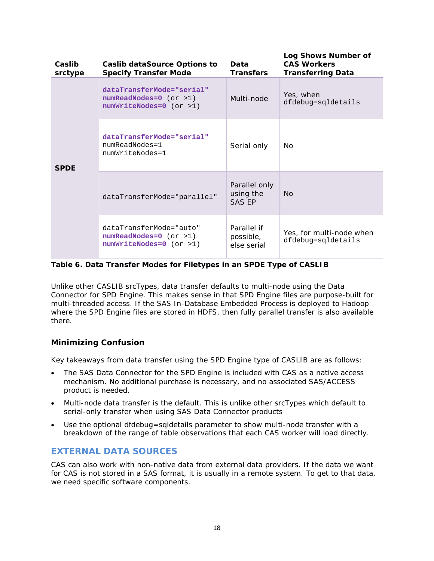| Caslib<br>srctype | Caslib dataSource Options to<br>Specify Transfer Mode                              | Data<br>Transfers                           | Log Shows Number of<br>CAS Workers<br><b>Transferring Data</b> |
|-------------------|------------------------------------------------------------------------------------|---------------------------------------------|----------------------------------------------------------------|
| <b>SPDE</b>       | dataTransferMode="serial"<br>$numReadNodes=0$ (or >1)<br>$numWriteNodes=0$ (or >1) | Multi-node                                  | Yes, when<br>dfdebug=sgldetails                                |
|                   | dataTransferMode="serial"<br>numReadNodes=1<br>numWriteNodes=1                     | Serial only                                 | No.                                                            |
|                   | dataTransferMode="parallel"                                                        | Parallel only<br>using the<br><b>SAS EP</b> | <b>No</b>                                                      |
|                   | dataTransferMode="auto"<br>$numReadNodes=0$ (or >1)<br>numWriteNodes=0 (or >1)     | Parallel if<br>possible,<br>else serial     | Yes, for multi-node when<br>dfdebug=sqldetails                 |

**Table 6. Data Transfer Modes for Filetypes in an SPDE Type of CASLIB**

Unlike other CASLIB srcTypes, data transfer defaults to multi-node using the Data Connector for SPD Engine. This makes sense in that SPD Engine files are purpose-built for multi-threaded access. If the SAS In-Database Embedded Process is deployed to Hadoop where the SPD Engine files are stored in HDFS, then fully parallel transfer is also available there.

# *Minimizing Confusion*

Key takeaways from data transfer using the SPD Engine type of CASLIB are as follows:

- The SAS Data Connector for the SPD Engine is included with CAS as a native access mechanism. No additional purchase is necessary, and no associated SAS/ACCESS product is needed.
- Multi-node data transfer is the default. This is unlike other srcTypes which default to serial-only transfer when using SAS Data Connector products
- Use the optional dfdebug=sqldetails parameter to show multi-node transfer with a breakdown of the range of table observations that each CAS worker will load directly.

# **EXTERNAL DATA SOURCES**

CAS can also work with non-native data from external data providers. If the data we want for CAS is not stored in a SAS format, it is usually in a remote system. To get to that data, we need specific software components.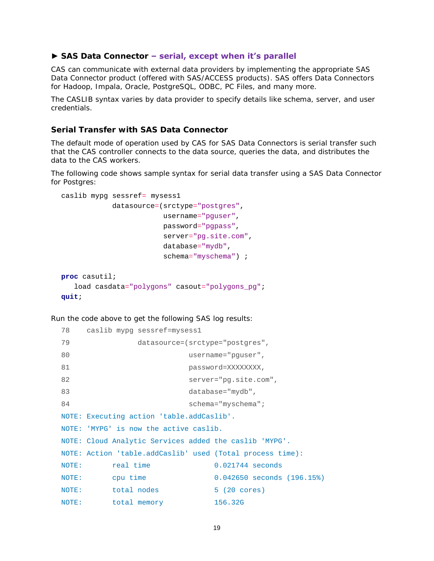#### **► SAS Data Connector – serial, except when it's parallel**

CAS can communicate with external data providers by implementing the appropriate SAS Data Connector product (offered with SAS/ACCESS products). SAS offers Data Connectors for Hadoop, Impala, Oracle, PostgreSQL, ODBC, PC Files, and many more.

The CASLIB syntax varies by data provider to specify details like schema, server, and user credentials.

## *Serial Transfer with SAS Data Connector*

The default mode of operation used by CAS for SAS Data Connectors is serial transfer such that the CAS controller connects to the data source, queries the data, and distributes the data to the CAS workers.

The following code shows sample syntax for serial data transfer using a SAS Data Connector for Postgres:

```
caslib mypg sessref= mysess1
             datasource=(srctype="postgres",
                          username="pguser",
                          password="pgpass",
                          server="pg.site.com",
                          database="mydb",
                          schema="myschema") ; 
proc casutil;
    load casdata="polygons" casout="polygons_pg";
quit;
```

```
78 caslib mypg sessref=mysess1
79 datasource=(srctype="postgres",
80 username="pguser",
81 password=XXXXXXXX,
82 server="pg.site.com",
83 database="mydb",
84 schema="myschema";
NOTE: Executing action 'table.addCaslib'.
NOTE: 'MYPG' is now the active caslib.
NOTE: Cloud Analytic Services added the caslib 'MYPG'.
NOTE: Action 'table.addCaslib' used (Total process time):
NOTE: real time 0.021744 seconds
NOTE: cpu time 0.042650 seconds (196.15%)
NOTE: total nodes 5 (20 cores)
NOTE: total memory 156.32G
```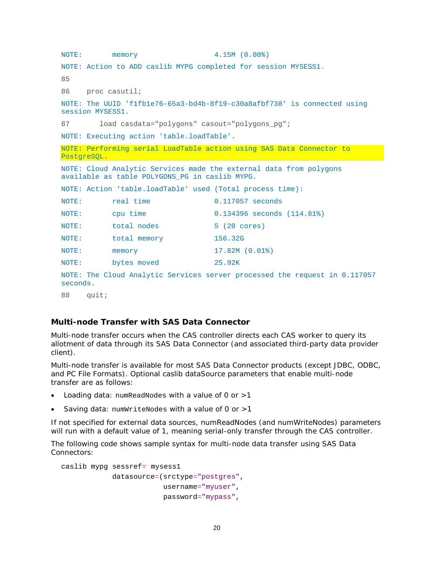```
NOTE: memory 4.15M (0.00%)
NOTE: Action to ADD caslib MYPG completed for session MYSESS1.
85 
86 proc casutil;
NOTE: The UUID 'f1fb1e76-65a3-bd4b-8f19-c30a8afbf738' is connected using 
session MYSESS1.
87 load casdata="polygons" casout="polygons_pg";
NOTE: Executing action 'table.loadTable'.
NOTE: Performing serial LoadTable action using SAS Data Connector to 
PostgreSQL.
NOTE: Cloud Analytic Services made the external data from polygons 
available as table POLYGONS_PG in caslib MYPG.
NOTE: Action 'table.loadTable' used (Total process time):
NOTE: real time 0.117057 seconds
NOTE: cpu time 0.134396 seconds (114.81%)
NOTE: total nodes 5 (20 cores)
NOTE: total memory 156.32G
NOTE: memory 17.82M (0.01%)
NOTE: bytes moved 25.92K
NOTE: The Cloud Analytic Services server processed the request in 0.117057 
seconds.
88 quit;
```
## *Multi-node Transfer with SAS Data Connector*

Multi-node transfer occurs when the CAS controller directs each CAS worker to query its allotment of data through its SAS Data Connector (and associated third-party data provider client).

Multi-node transfer is available for most SAS Data Connector products (except JDBC, ODBC, and PC File Formats). Optional caslib dataSource parameters that enable multi-node transfer are as follows:

- Loading data:  $numReadNodes$  with a value of 0 or  $>1$
- Saving data:  $numWriteNodes$  with a value of 0 or  $>1$

If not specified for external data sources, numReadNodes (and numWriteNodes) parameters will run with a default value of 1, meaning serial-only transfer through the CAS controller.

The following code shows sample syntax for multi-node data transfer using SAS Data Connectors:

```
caslib mypg sessref= mysess1
             datasource=(srctype="postgres",
                          username="myuser",
                          password="mypass",
```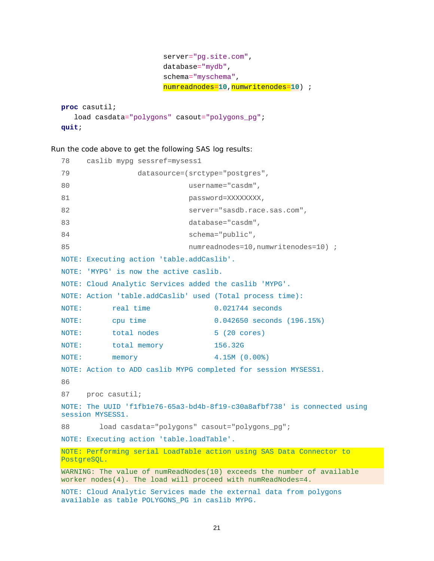```
 server="pg.site.com",
                           database="mydb",
                           schema="myschema",
                           numreadnodes=10,numwritenodes=10) ; 
proc casutil;
```

```
 load casdata="polygons" casout="polygons_pg";
quit;
```

```
78 caslib mypg sessref=mysess1
79 datasource=(srctype="postgres",
80 username="casdm",
81 password=XXXXXXXX,
82 server="sasdb.race.sas.com",
83 database="casdm",
84 schema="public",
85 120 numreadnodes=10,numwritenodes=10) i
NOTE: Executing action 'table.addCaslib'.
NOTE: 'MYPG' is now the active caslib.
NOTE: Cloud Analytic Services added the caslib 'MYPG'.
NOTE: Action 'table.addCaslib' used (Total process time):
NOTE: real time 0.021744 seconds
NOTE: cpu time 0.042650 seconds (196.15%)
NOTE: total nodes 5 (20 cores)
NOTE: total memory 156.32G
NOTE: memory 4.15M (0.00%)
NOTE: Action to ADD caslib MYPG completed for session MYSESS1.
86 
87 proc casutil;
NOTE: The UUID 'f1fb1e76-65a3-bd4b-8f19-c30a8afbf738' is connected using 
session MYSESS1.
88 load casdata="polygons" casout="polygons_pg";
NOTE: Executing action 'table.loadTable'.
NOTE: Performing serial LoadTable action using SAS Data Connector to 
PostgreSQL.
WARNING: The value of numReadNodes(10) exceeds the number of available 
worker nodes(4). The load will proceed with numReadNodes=4.
NOTE: Cloud Analytic Services made the external data from polygons 
available as table POLYGONS_PG in caslib MYPG.
```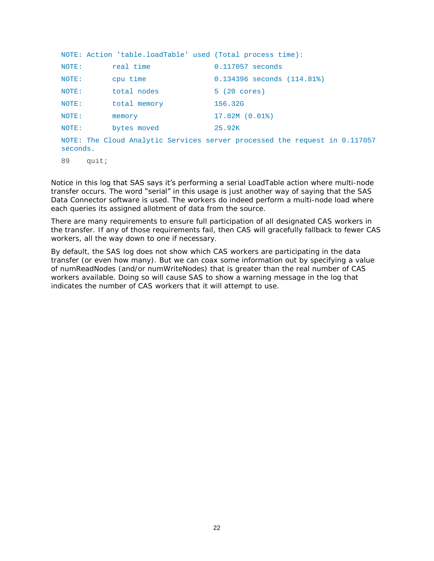|          | NOTE: Action 'table.loadTable' used (Total process time): |                                                                            |
|----------|-----------------------------------------------------------|----------------------------------------------------------------------------|
| NOTE:    | real time                                                 | 0.117057 seconds                                                           |
| NOTE:    | cpu time                                                  | $0.134396$ seconds $(114.81)$                                              |
| NOTE:    | total nodes                                               | 5 (20 cores)                                                               |
| NOTE:    | total memory                                              | 156.32G                                                                    |
| NOTE:    | memory                                                    | $17.82M(0.01$ <sup>8</sup> )                                               |
| NOTE:    | bytes moved                                               | 25.92K                                                                     |
| seconds. |                                                           | NOTE: The Cloud Analytic Services server processed the request in 0.117057 |
| 89       | quit;                                                     |                                                                            |

Notice in this log that SAS says it's performing a *serial* LoadTable action where multi-node transfer occurs. The word "serial" in this usage is just another way of saying that the SAS Data Connector software is used. The workers do indeed perform a multi-node load where each queries its assigned allotment of data from the source.

There are many requirements to ensure full participation of all designated CAS workers in the transfer. If any of those requirements fail, then CAS will gracefully fallback to fewer CAS workers, all the way down to one if necessary.

By default, the SAS log does not show which CAS workers are participating in the data transfer (or even how many). But we can coax some information out by specifying a value of numReadNodes (and/or numWriteNodes) that is greater than the real number of CAS workers available. Doing so will cause SAS to show a warning message in the log that indicates the number of CAS workers that it will attempt to use.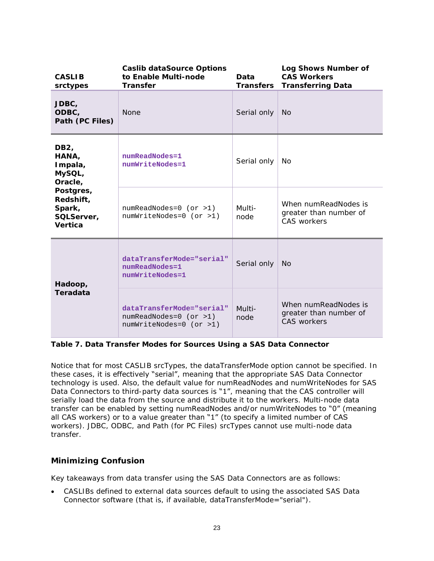| <b>CASLIB</b><br>srctypes                                 | Caslib dataSource Options<br>to Enable Multi-node<br>Data<br>Transfer<br>Transfers |                | Log Shows Number of<br><b>CAS Workers</b><br><b>Transferring Data</b> |
|-----------------------------------------------------------|------------------------------------------------------------------------------------|----------------|-----------------------------------------------------------------------|
| JDBC,<br>ODBC,<br>Path (PC Files)                         | None                                                                               | Serial only    | <b>No</b>                                                             |
| DB <sub>2</sub><br>HANA,<br>Impala,<br>MySQL,<br>Oracle,  | numReadNodes=1<br>numWriteNodes=1                                                  | Serial only    | No                                                                    |
| Postgres,<br>Redshift,<br>Spark,<br>SQLServer,<br>Vertica | $numReadNodes=0$ (or >1)<br>numWriteNodes=0 (or >1)                                | Multi-<br>node | When numReadNodes is<br>greater than number of<br><b>CAS workers</b>  |
| Hadoop,                                                   | dataTransferMode="serial"<br>numReadNodes=1<br>numWriteNodes=1                     | Serial only    | N <sub>O</sub>                                                        |
| Teradata                                                  | dataTransferMode="serial"<br>$numReadNodes=0$ (or >1)<br>numWriteNodes=0 (or >1)   | Multi-<br>node | When numReadNodes is<br>greater than number of<br><b>CAS workers</b>  |

**Table 7. Data Transfer Modes for Sources Using a SAS Data Connector**

Notice that for most CASLIB srcTypes, the dataTransferMode option cannot be specified. In these cases, it is effectively "serial", meaning that the appropriate SAS Data Connector technology is used. Also, the default value for numReadNodes and numWriteNodes for SAS Data Connectors to third-party data sources is "1", meaning that the CAS controller will serially load the data from the source and distribute it to the workers. Multi-node data transfer can be enabled by setting numReadNodes and/or numWriteNodes to "0" (meaning all CAS workers) or to a value greater than "1" (to specify a limited number of CAS workers). JDBC, ODBC, and Path (for PC Files) srcTypes cannot use multi-node data transfer.

# *Minimizing Confusion*

Key takeaways from data transfer using the SAS Data Connectors are as follows:

• CASLIBs defined to external data sources default to using the associated SAS Data Connector software (that is, if available, dataTransferMode="serial").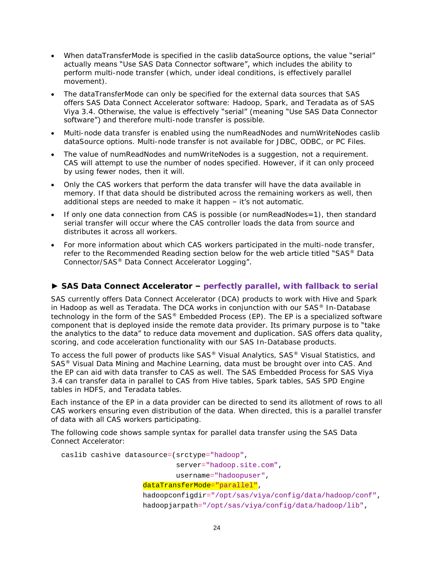- When dataTransferMode is specified in the caslib dataSource options, the value "serial" actually means "Use SAS Data Connector software", which includes the ability to perform multi-node transfer (which, under ideal conditions, is effectively parallel movement).
- The dataTransferMode can only be specified for the external data sources that SAS offers SAS Data Connect Accelerator software: Hadoop, Spark, and Teradata as of SAS Viya 3.4. Otherwise, the value is effectively "serial" (meaning "Use SAS Data Connector software") and therefore multi-node transfer is possible.
- Multi-node data transfer is enabled using the numReadNodes and numWriteNodes caslib dataSource options. Multi-node transfer is not available for JDBC, ODBC, or PC Files.
- The value of numReadNodes and numWriteNodes is a *suggestion*, not a requirement. CAS will attempt to use the number of nodes specified. However, if it can only proceed by using fewer nodes, then it will.
- Only the CAS workers that perform the data transfer will have the data available in memory. If that data should be distributed across the remaining workers as well, then additional steps are needed to make it happen  $-$  it's not automatic.
- If only one data connection from CAS is possible (or numReadNodes=1), then standard serial transfer will occur where the CAS controller loads the data from source and distributes it across all workers.
- For more information about which CAS workers participated in the multi-node transfer, refer to the [Recommended Reading](#page-32-0) section below for the web article titled "SAS® Data Connector/SAS® Data Connect Accelerator Logging".

## **► SAS Data Connect Accelerator – perfectly parallel, with fallback to serial**

SAS currently offers Data Connect Accelerator (DCA) products to work with Hive and Spark in Hadoop as well as Teradata. The DCA works in conjunction with our SAS® In-Database technology in the form of the SAS® Embedded Process (EP). The EP is a specialized software component that is deployed inside the remote data provider. Its primary purpose is to "take the analytics to the data" to reduce data movement and duplication. SAS offers data quality, scoring, and code acceleration functionality with our SAS In-Database products.

To access the full power of products like SAS<sup>®</sup> Visual Analytics, SAS<sup>®</sup> Visual Statistics, and SAS® Visual Data Mining and Machine Learning, data must be brought over into CAS. And the EP can aid with data transfer to CAS as well. The SAS Embedded Process for SAS Viya 3.4 can transfer data in parallel to CAS from Hive tables, Spark tables, SAS SPD Engine tables in HDFS, and Teradata tables.

Each instance of the EP in a data provider can be directed to send its allotment of rows to all CAS workers ensuring even distribution of the data. When directed, this is a parallel transfer of data with all CAS workers participating.

The following code shows sample syntax for parallel data transfer using the SAS Data Connect Accelerator:

caslib cashive datasource=(srctype="hadoop",

server="hadoop.site.com",

username="hadoopuser",

#### dataTransferMode="parallel",

hadoopconfigdir="/opt/sas/viya/config/data/hadoop/conf", hadoopjarpath="/opt/sas/viya/config/data/hadoop/lib",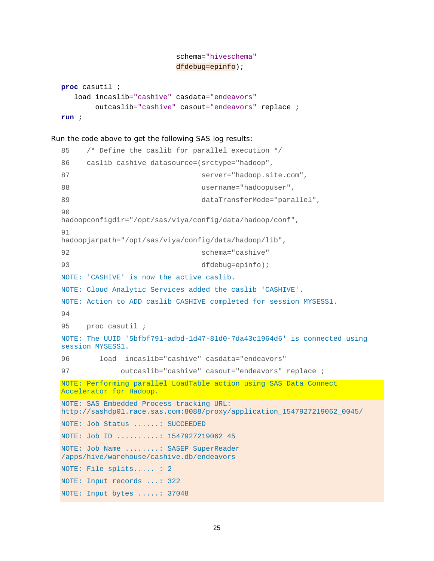```
 schema="hiveschema"
dfdebug=epinfo);
```

```
proc casutil ;
    load incaslib="cashive" casdata="endeavors"
         outcaslib="cashive" casout="endeavors" replace ;
run ;
```

```
85 /* Define the caslib for parallel execution */
86 caslib cashive datasource=(srctype="hadoop",
87 server="hadoop.site.com",
88 username="hadoopuser",
89 dataTransferMode="parallel",
90 
hadoopconfigdir="/opt/sas/viya/config/data/hadoop/conf",
91 
hadoopjarpath="/opt/sas/viya/config/data/hadoop/lib",
92 schema="cashive"
93 dfdebug=epinfo);
NOTE: 'CASHIVE' is now the active caslib.
NOTE: Cloud Analytic Services added the caslib 'CASHIVE'.
NOTE: Action to ADD caslib CASHIVE completed for session MYSESS1.
94 
95 proc casutil ;
NOTE: The UUID '5bfbf791-adbd-1d47-81d0-7da43c1964d6' is connected using 
session MYSESS1.
96 load incaslib="cashive" casdata="endeavors"
97 outcaslib="cashive" casout="endeavors" replace ;
NOTE: Performing parallel LoadTable action using SAS Data Connect 
Accelerator for Hadoop.
NOTE: SAS Embedded Process tracking URL: 
http://sashdp01.race.sas.com:8088/proxy/application_1547927219062_0045/
NOTE: Job Status ......: SUCCEEDED
NOTE: Job ID ..........: 1547927219062_45
NOTE: Job Name ........: SASEP SuperReader 
/apps/hive/warehouse/cashive.db/endeavors
NOTE: File splits..... : 2
NOTE: Input records ...: 322
NOTE: Input bytes .....: 37048
```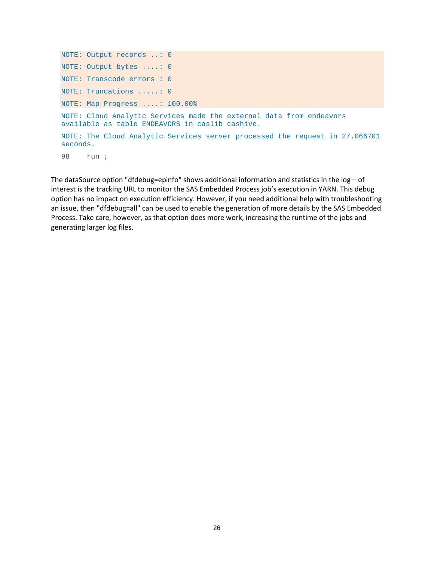```
NOTE: Output records ..: 0
NOTE: Output bytes ....: 0
NOTE: Transcode errors : 0
NOTE: Truncations .....: 0
NOTE: Map Progress ....: 100.00%
NOTE: Cloud Analytic Services made the external data from endeavors 
available as table ENDEAVORS in caslib cashive.
NOTE: The Cloud Analytic Services server processed the request in 27.066701 
seconds.
98 run ;
```
The dataSource option "dfdebug=epinfo" shows additional information and statistics in the  $log - of$ interest is the tracking URL to monitor the SAS Embedded Process job's execution in YARN. This debug option has no impact on execution efficiency. However, if you need additional help with troubleshooting an issue, then "dfdebug=all" can be used to enable the generation of more details by the SAS Embedded Process. Take care, however, as that option does more work, increasing the runtime of the jobs and generating larger log files.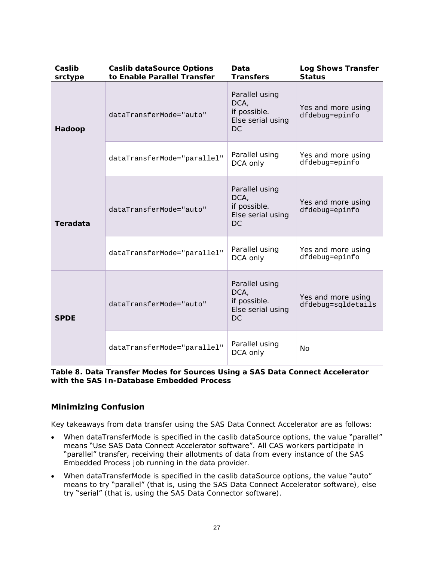| Caslib<br>srctype | Caslib dataSource Options<br>to Enable Parallel Transfer | Data<br>Transfers                                                 | Log Shows Transfer<br>Status             |
|-------------------|----------------------------------------------------------|-------------------------------------------------------------------|------------------------------------------|
| Hadoop            | dataTransferMode="auto"                                  | Parallel using<br>DCA,<br>if possible.<br>Else serial using<br>DC | Yes and more using<br>dfdebug=epinfo     |
|                   | dataTransferMode="parallel"                              | Parallel using<br>DCA only                                        | Yes and more using<br>dfdebug=epinfo     |
| Teradata          | dataTransferMode="auto"                                  | Parallel using<br>DCA,<br>if possible.<br>Else serial using<br>DC | Yes and more using<br>dfdebug=epinfo     |
|                   | dataTransferMode="parallel"                              | Parallel using<br>DCA only                                        | Yes and more using<br>dfdebug=epinfo     |
| <b>SPDE</b>       | dataTransferMode="auto"                                  | Parallel using<br>DCA,<br>if possible.<br>Else serial using<br>DC | Yes and more using<br>dfdebug=sqldetails |
|                   | dataTransferMode="parallel"                              | Parallel using<br>DCA only                                        | <b>No</b>                                |

**Table 8. Data Transfer Modes for Sources Using a SAS Data Connect Accelerator with the SAS In-Database Embedded Process**

# *Minimizing Confusion*

Key takeaways from data transfer using the SAS Data Connect Accelerator are as follows:

- When dataTransferMode is specified in the caslib dataSource options, the value "parallel" means "Use SAS Data Connect Accelerator software". All CAS workers participate in "parallel" transfer, receiving their allotments of data from every instance of the SAS Embedded Process job running in the data provider.
- When dataTransferMode is specified in the caslib dataSource options, the value "auto" means to try "parallel" (that is, using the SAS Data Connect Accelerator software), else try "serial" (that is, using the SAS Data Connector software).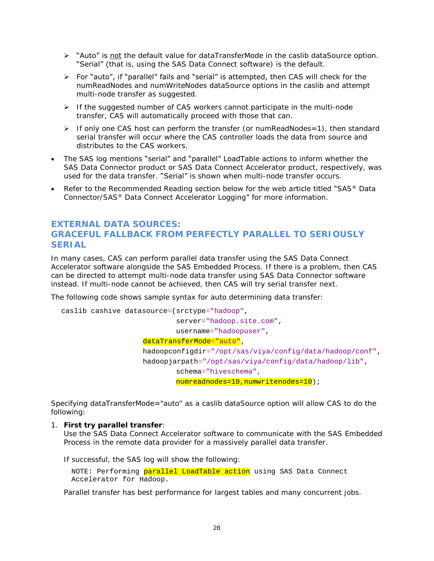- ➢ "Auto" is not the default value for dataTransferMode in the caslib dataSource option. "Serial" (that is, using the SAS Data Connect software) is the default.
- ➢ For "auto", if "parallel" fails and "serial" is attempted, then CAS will check for the numReadNodes and numWriteNodes dataSource options in the caslib and attempt multi-node transfer as suggested.
- $\triangleright$  If the suggested number of CAS workers cannot participate in the multi-node transfer, CAS will automatically proceed with those that can.
- ➢ If only one CAS host can perform the transfer (or numReadNodes=1), then standard serial transfer will occur where the CAS controller loads the data from source and distributes to the CAS workers.
- The SAS log mentions "serial" and "parallel" LoadTable actions to inform whether the SAS Data Connector product or SAS Data Connect Accelerator product, respectively, was used for the data transfer. "Serial" is shown when multi-node transfer occurs.
- Refer to the [Recommended Reading](#page-32-0) section below for the web article titled "SAS® Data Connector/SAS® Data Connect Accelerator Logging" for more information.

# **EXTERNAL DATA SOURCES: GRACEFUL FALLBACK FROM PERFECTLY PARALLEL TO SERIOUSLY SERIAL**

In many cases, CAS can perform parallel data transfer using the SAS Data Connect Accelerator software alongside the SAS Embedded Process. If there is a problem, then CAS can be directed to attempt multi-node data transfer using SAS Data Connector software instead. If multi-node cannot be achieved, then CAS will try serial transfer next.

The following code shows sample syntax for auto determining data transfer:

```
caslib cashive datasource=(srctype="hadoop",
                             server="hadoop.site.com",
                             username="hadoopuser",
                   dataTransferMode="auto", 
                   hadoopconfigdir="/opt/sas/viya/config/data/hadoop/conf", 
                   hadoopjarpath="/opt/sas/viya/config/data/hadoop/lib",
                             schema="hiveschema",
                            numreadnodes=10,numwritenodes=10);
```
Specifying dataTransferMode="auto" as a caslib dataSource option will allow CAS to do the following:

1. **First try parallel transfer**:

Use the SAS Data Connect Accelerator software to communicate with the SAS Embedded Process in the remote data provider for a massively parallel data transfer.

If successful, the SAS log will show the following:

NOTE: Performing parallel LoadTable action using SAS Data Connect Accelerator for Hadoop.

Parallel transfer has best performance for largest tables and many concurrent jobs.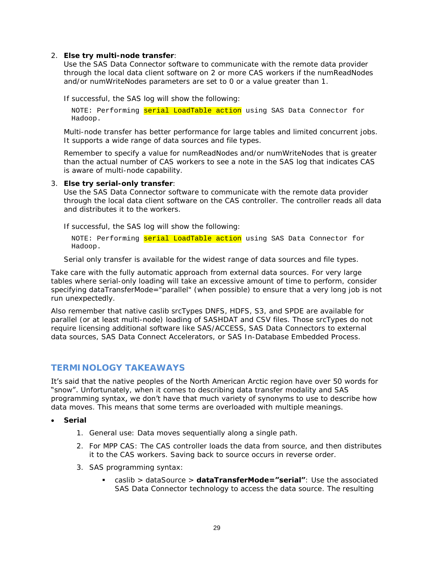2. **Else try multi-node transfer**:

Use the SAS Data Connector software to communicate with the remote data provider through the local data client software on 2 or more CAS workers if the numReadNodes and/or numWriteNodes parameters are set to 0 or a value greater than 1.

If successful, the SAS log will show the following:

NOTE: Performing serial LoadTable action using SAS Data Connector for Hadoop.

Multi-node transfer has better performance for large tables and limited concurrent jobs. It supports a wide range of data sources and file types.

Remember to specify a value for numReadNodes and/or numWriteNodes that is greater than the actual number of CAS workers to see a note in the SAS log that indicates CAS is aware of multi-node capability.

3. **Else try serial-only transfer**:

Use the SAS Data Connector software to communicate with the remote data provider through the local data client software on the CAS controller. The controller reads all data and distributes it to the workers.

If successful, the SAS log will show the following:

NOTE: Performing serial LoadTable action using SAS Data Connector for Hadoop.

Serial only transfer is available for the widest range of data sources and file types.

Take care with the fully automatic approach from external data sources. For very large tables where serial-only loading will take an excessive amount of time to perform, consider specifying dataTransferMode="parallel" (when possible) to ensure that a very long job is not run unexpectedly.

Also remember that native caslib srcTypes DNFS, HDFS, S3, and SPDE are available for parallel (or at least multi-node) loading of SASHDAT and CSV files. Those srcTypes do not require licensing additional software like SAS/ACCESS, SAS Data Connectors to external data sources, SAS Data Connect Accelerators, or SAS In-Database Embedded Process.

# **TERMINOLOGY TAKEAWAYS**

It's said that the native peoples of the North American Arctic region have over 50 words for "snow". Unfortunately, when it comes to describing data transfer modality and SAS programming syntax, we don't have that much variety of synonyms to use to describe how data moves. This means that some terms are overloaded with multiple meanings.

- **Serial**
	- 1. *General use*: Data moves sequentially along a single path.
	- 2. *For MPP CAS*: The CAS controller loads the data from source, and then distributes it to the CAS workers. Saving back to source occurs in reverse order.
	- 3. *SAS programming syntax*:
		- caslib > dataSource > **dataTransferMode="serial"**: Use the associated SAS Data Connector technology to access the data source. The resulting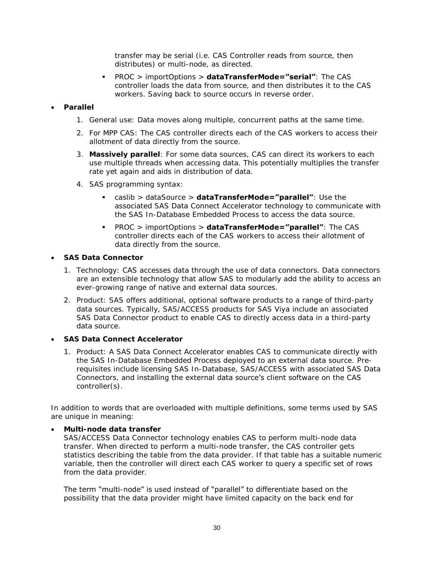transfer may be serial (i.e. CAS Controller reads from source, then distributes) or multi-node, as directed.

- PROC > importOptions > **dataTransferMode="serial"**: The CAS controller loads the data from source, and then distributes it to the CAS workers. Saving back to source occurs in reverse order.
- **Parallel**
	- 1. *General use*: Data moves along multiple, concurrent paths at the same time.
	- 2. *For MPP CAS*: The CAS controller directs each of the CAS workers to access their allotment of data directly from the source.
	- 3. **Massively parallel**: For some data sources, CAS can direct its workers to each use multiple threads when accessing data. This potentially multiplies the transfer rate yet again and aids in distribution of data.
	- 4. *SAS programming syntax*:
		- caslib > dataSource > **dataTransferMode="parallel"**: Use the associated SAS Data Connect Accelerator technology to communicate with the SAS In-Database Embedded Process to access the data source.
		- PROC > importOptions > **dataTransferMode="parallel"**: The CAS controller directs each of the CAS workers to access their allotment of data directly from the source.
- **SAS Data Connector**
	- 1. *Technology:* CAS accesses data through the use of data connectors. Data connectors are an extensible technology that allow SAS to modularly add the ability to access an ever-growing range of native and external data sources.
	- 2. *Product:* SAS offers additional, optional software products to a range of third-party data sources. Typically, SAS/ACCESS products for SAS Viya include an associated SAS Data Connector product to enable CAS to directly access data in a third-party data source.
- **SAS Data Connect Accelerator**
	- 1. *Product:* A SAS Data Connect Accelerator enables CAS to communicate directly with the SAS In-Database Embedded Process deployed to an external data source. Prerequisites include licensing SAS In-Database, SAS/ACCESS with associated SAS Data Connectors, and installing the external data source's client software on the CAS controller(s).

In addition to words that are overloaded with multiple definitions, some terms used by SAS are unique in meaning:

• **Multi-node data transfer**

SAS/ACCESS Data Connector technology enables CAS to perform multi-node data transfer. When directed to perform a multi-node transfer, the CAS controller gets statistics describing the table from the data provider. If that table has a suitable numeric variable, then the controller will direct each CAS worker to query a specific set of rows from the data provider.

The term "multi-node" is used instead of "parallel" to differentiate based on the possibility that the data provider might have limited capacity on the back end for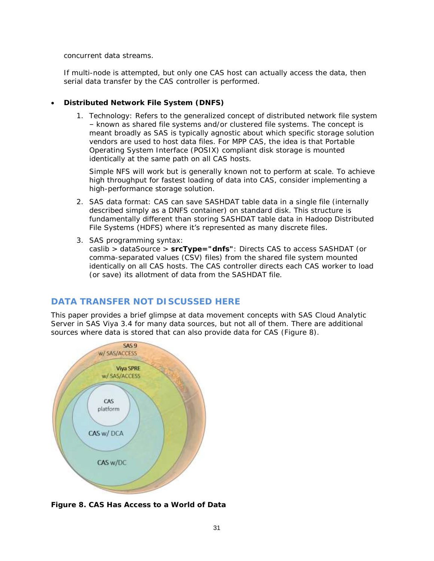concurrent data streams.

If multi-node is attempted, but only one CAS host can actually access the data, then serial data transfer by the CAS controller is performed.

- **Distributed Network File System (DNFS)**
	- 1. *Technology*: Refers to the generalized concept of distributed network file system – known as shared file systems and/or clustered file systems. The concept is meant broadly as SAS is typically agnostic about which specific storage solution vendors are used to host data files. For MPP CAS, the idea is that Portable Operating System Interface (POSIX) compliant disk storage is mounted identically at the same path on all CAS hosts.

Simple NFS will work but is generally known not to perform at scale. To achieve high throughput for fastest loading of data into CAS, consider implementing a high-performance storage solution.

- 2. *SAS data format*: CAS can save SASHDAT table data in a single file (internally described simply as a DNFS container) on standard disk. This structure is fundamentally different than storing SASHDAT table data in Hadoop Distributed File Systems (HDFS) where it's represented as many discrete files.
- 3. *SAS programming syntax*:
	- caslib > dataSource > **srcType="dnfs"**: Directs CAS to access SASHDAT (or comma-separated values (CSV) files) from the shared file system mounted identically on all CAS hosts. The CAS controller directs each CAS worker to load (or save) its allotment of data from the SASHDAT file.

# **DATA TRANSFER NOT DISCUSSED HERE**

This paper provides a brief glimpse at data movement concepts with SAS Cloud Analytic Server in SAS Viya 3.4 for many data sources, but not all of them. There are additional sources where data is stored that can also provide data for CAS [\(Figure 8\)](#page-30-0).



<span id="page-30-0"></span>**Figure 8. CAS Has Access to a World of Data**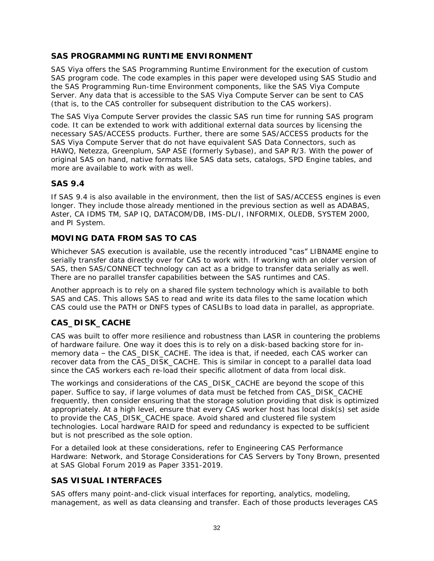## **SAS PROGRAMMING RUNTIME ENVIRONMENT**

SAS Viya offers the SAS Programming Runtime Environment for the execution of custom SAS program code. The code examples in this paper were developed using SAS Studio and the SAS Programming Run-time Environment components, like the SAS Viya Compute Server. Any data that is accessible to the SAS Viya Compute Server can be sent to CAS (that is, to the CAS controller for subsequent distribution to the CAS workers).

The SAS Viya Compute Server provides the classic SAS run time for running SAS program code. It can be extended to work with additional external data sources by licensing the necessary SAS/ACCESS products. Further, there are some SAS/ACCESS products for the SAS Viya Compute Server that do not have equivalent SAS Data Connectors, such as HAWQ, Netezza, Greenplum, SAP ASE (formerly Sybase), and SAP R/3. With the power of original SAS on hand, native formats like SAS data sets, catalogs, SPD Engine tables, and more are available to work with as well.

## **SAS 9.4**

If SAS 9.4 is also available in the environment, then the list of SAS/ACCESS engines is even longer. They include those already mentioned in the previous section as well as ADABAS, Aster, CA IDMS TM, SAP IQ, DATACOM/DB, IMS-DL/I, INFORMIX, OLEDB, SYSTEM 2000, and PI System.

## **MOVING DATA FROM SAS TO CAS**

Whichever SAS execution is available, use the recently introduced "cas" LIBNAME engine to serially transfer data directly over for CAS to work with. If working with an older version of SAS, then SAS/CONNECT technology can act as a bridge to transfer data serially as well. There are no parallel transfer capabilities between the SAS runtimes and CAS.

Another approach is to rely on a shared file system technology which is available to both SAS and CAS. This allows SAS to read and write its data files to the same location which CAS could use the PATH or DNFS types of CASLIBs to load data in parallel, as appropriate.

# **CAS\_DISK\_CACHE**

CAS was built to offer more resilience and robustness than LASR in countering the problems of hardware failure. One way it does this is to rely on a disk-based backing store for inmemory data – the CAS\_DISK\_CACHE. The idea is that, if needed, each CAS worker can recover data from the CAS\_DISK\_CACHE. This is similar in concept to a parallel data load since the CAS workers each re-load their specific allotment of data from local disk.

The workings and considerations of the CAS\_DISK\_CACHE are beyond the scope of this paper. Suffice to say, if large volumes of data must be fetched from CAS\_DISK\_CACHE frequently, then consider ensuring that the storage solution providing that disk is optimized appropriately. At a high level, ensure that every CAS worker host has local disk(s) set aside to provide the CAS\_DISK\_CACHE space. Avoid shared and clustered file system technologies. Local hardware RAID for speed and redundancy is expected to be sufficient but is not prescribed as the sole option.

For a detailed look at these considerations, refer to *Engineering CAS Performance Hardware: Network, and Storage Considerations for CAS Servers* by Tony Brown, presented at SAS Global Forum 2019 as Paper 3351-2019.

## **SAS VISUAL INTERFACES**

SAS offers many point-and-click visual interfaces for reporting, analytics, modeling, management, as well as data cleansing and transfer. Each of those products leverages CAS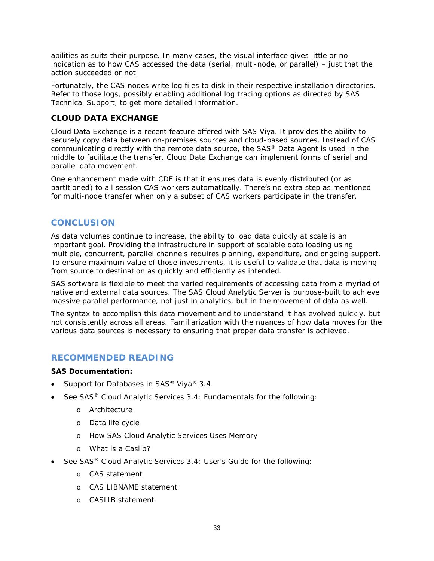abilities as suits their purpose. In many cases, the visual interface gives little or no indication as to *how* CAS accessed the data (serial, multi-node, or parallel) – just that the action succeeded or not.

Fortunately, the CAS nodes write log files to disk in their respective installation directories. Refer to those logs, possibly enabling additional log tracing options as directed by SAS Technical Support, to get more detailed information.

## **CLOUD DATA EXCHANGE**

Cloud Data Exchange is a recent feature offered with SAS Viya. It provides the ability to securely copy data between on-premises sources and cloud-based sources. Instead of CAS communicating directly with the remote data source, the SAS® Data Agent is used in the middle to facilitate the transfer. Cloud Data Exchange can implement forms of serial and parallel data movement.

One enhancement made with CDE is that it ensures data is evenly distributed (or as partitioned) to all session CAS workers automatically. There's no extra step as mentioned for multi-node transfer when only a subset of CAS workers participate in the transfer.

# **CONCLUSION**

As data volumes continue to increase, the ability to load data quickly at scale is an important goal. Providing the infrastructure in support of scalable data loading using multiple, concurrent, parallel channels requires planning, expenditure, and ongoing support. To ensure maximum value of those investments, it is useful to validate that data is moving from source to destination as quickly and efficiently as intended.

SAS software is flexible to meet the varied requirements of accessing data from a myriad of native and external data sources. The SAS Cloud Analytic Server is purpose-built to achieve massive parallel performance, not just in analytics, but in the movement of data as well.

The syntax to accomplish this data movement and to understand it has evolved quickly, but not consistently across all areas. Familiarization with the nuances of how data moves for the various data sources is necessary to ensuring that proper data transfer is achieved.

# <span id="page-32-0"></span>**RECOMMENDED READING**

**SAS Documentation:**

- *Support for Databases in SAS® Viya® 3.4*
- See *SAS® Cloud Analytic Services 3.4: Fundamentals* for the following:
	- o Architecture
	- o Data life cycle
	- o How SAS Cloud Analytic Services Uses Memory
	- o What is a Caslib?
- See *SAS® Cloud Analytic Services 3.4: User's Guide* for the following:
	- o CAS statement
	- o CAS LIBNAME statement
	- o CASLIB statement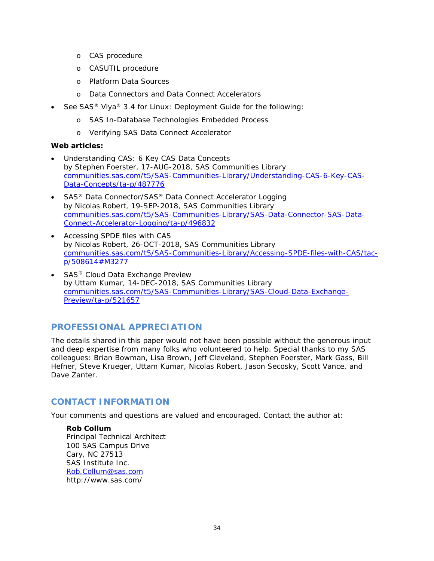- o CAS procedure
- o CASUTIL procedure
- o Platform Data Sources
- o Data Connectors and Data Connect Accelerators
- See *SAS® Viya® 3.4 for Linux: Deployment Guide* for the following:
	- o SAS In-Database Technologies Embedded Process
	- o Verifying SAS Data Connect Accelerator

#### **Web articles:**

- *Understanding CAS: 6 Key CAS Data Concepts* by Stephen Foerster, 17-AUG-2018, SAS Communities Library [communities.sas.com/t5/SAS-Communities-Library/Understanding-CAS-6-Key-CAS-](https://communities.sas.com/t5/SAS-Communities-Library/Understanding-CAS-6-Key-CAS-Data-Concepts/ta-p/487776)[Data-Concepts/ta-p/487776](https://communities.sas.com/t5/SAS-Communities-Library/Understanding-CAS-6-Key-CAS-Data-Concepts/ta-p/487776)
- *SAS® Data Connector/SAS® Data Connect Accelerator Logging* by Nicolas Robert, 19-SEP-2018, SAS Communities Library [communities.sas.com/t5/SAS-Communities-Library/SAS-Data-Connector-SAS-Data-](https://communities.sas.com/t5/SAS-Communities-Library/SAS-Data-Connector-SAS-Data-Connect-Accelerator-Logging/ta-p/496832)[Connect-Accelerator-Logging/ta-p/496832](https://communities.sas.com/t5/SAS-Communities-Library/SAS-Data-Connector-SAS-Data-Connect-Accelerator-Logging/ta-p/496832)
- *Accessing SPDE files with CAS* by Nicolas Robert, 26-OCT-2018, SAS Communities Library [communities.sas.com/t5/SAS-Communities-Library/Accessing-SPDE-files-with-CAS/tac](https://communities.sas.com/t5/SAS-Communities-Library/Accessing-SPDE-files-with-CAS/tac-p/508614#M3277)[p/508614#M3277](https://communities.sas.com/t5/SAS-Communities-Library/Accessing-SPDE-files-with-CAS/tac-p/508614#M3277)
- *SAS® Cloud Data Exchange Preview* by Uttam Kumar, 14-DEC-2018, SAS Communities Library [communities.sas.com/t5/SAS-Communities-Library/SAS-Cloud-Data-Exchange-](https://communities.sas.com/t5/SAS-Communities-Library/SAS-Cloud-Data-Exchange-Preview/ta-p/521657)[Preview/ta-p/521657](https://communities.sas.com/t5/SAS-Communities-Library/SAS-Cloud-Data-Exchange-Preview/ta-p/521657)

# **PROFESSIONAL APPRECIATION**

The details shared in this paper would not have been possible without the generous input and deep expertise from many folks who volunteered to help. Special thanks to my SAS colleagues: Brian Bowman, Lisa Brown, Jeff Cleveland, Stephen Foerster, Mark Gass, Bill Hefner, Steve Krueger, Uttam Kumar, Nicolas Robert, Jason Secosky, Scott Vance, and Dave Zanter.

# **CONTACT INFORMATION**

Your comments and questions are valued and encouraged. Contact the author at:

**Rob Collum** Principal Technical Architect 100 SAS Campus Drive Cary, NC 27513 SAS Institute Inc. [Rob.Collum@sas.com](mailto:Rob.Collum@sas.com) http://www.sas.com/